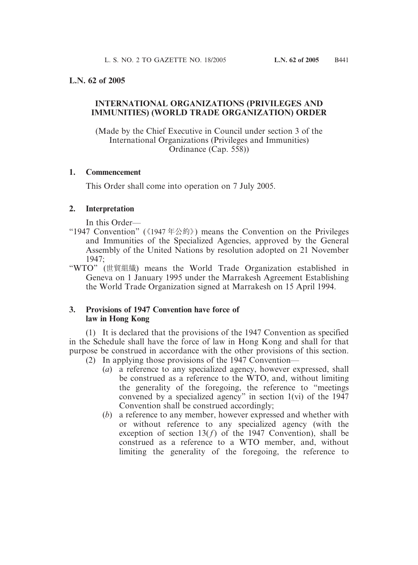## **L.N. 62 of 2005**

# **INTERNATIONAL ORGANIZATIONS (PRIVILEGES AND IMMUNITIES) (WORLD TRADE ORGANIZATION) ORDER**

(Made by the Chief Executive in Council under section 3 of the International Organizations (Privileges and Immunities) Ordinance (Cap. 558))

### **1. Commencement**

This Order shall come into operation on 7 July 2005.

## **2. Interpretation**

In this Order—

- "1947 Convention" (《1947 年公約》) means the Convention on the Privileges and Immunities of the Specialized Agencies, approved by the General Assembly of the United Nations by resolution adopted on 21 November 1947;
- "WTO" (世貿組織) means the World Trade Organization established in Geneva on 1 January 1995 under the Marrakesh Agreement Establishing the World Trade Organization signed at Marrakesh on 15 April 1994.

## **3. Provisions of 1947 Convention have force of law in Hong Kong**

(1) It is declared that the provisions of the 1947 Convention as specified in the Schedule shall have the force of law in Hong Kong and shall for that purpose be construed in accordance with the other provisions of this section.

- (2) In applying those provisions of the 1947 Convention—
	- (*a*) a reference to any specialized agency, however expressed, shall be construed as a reference to the WTO, and, without limiting the generality of the foregoing, the reference to "meetings convened by a specialized agency" in section 1(vi) of the 1947 Convention shall be construed accordingly;
	- (*b*) a reference to any member, however expressed and whether with or without reference to any specialized agency (with the exception of section  $13(f)$  of the 1947 Convention), shall be construed as a reference to a WTO member, and, without limiting the generality of the foregoing, the reference to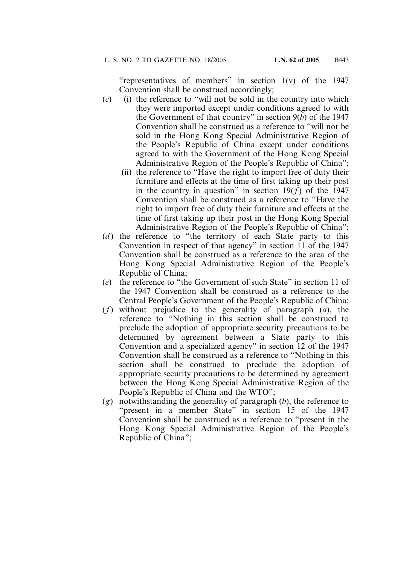"representatives of members" in section 1(v) of the 1947 Convention shall be construed accordingly;

- (*c*) (i) the reference to "will not be sold in the country into which they were imported except under conditions agreed to with the Government of that country" in section 9(*b*) of the 1947 Convention shall be construed as a reference to "will not be sold in the Hong Kong Special Administrative Region of the People's Republic of China except under conditions agreed to with the Government of the Hong Kong Special Administrative Region of the People's Republic of China";
	- (ii) the reference to "Have the right to import free of duty their furniture and effects at the time of first taking up their post in the country in question" in section  $19(f)$  of the 1947 Convention shall be construed as a reference to "Have the right to import free of duty their furniture and effects at the time of first taking up their post in the Hong Kong Special Administrative Region of the People's Republic of China";
- (*d*) the reference to "the territory of each State party to this Convention in respect of that agency" in section 11 of the 1947 Convention shall be construed as a reference to the area of the Hong Kong Special Administrative Region of the People's Republic of China;
- (*e*) the reference to "the Government of such State" in section 11 of the 1947 Convention shall be construed as a reference to the Central People's Government of the People's Republic of China;
- (*f*) without prejudice to the generality of paragraph (*a*), the reference to "Nothing in this section shall be construed to preclude the adoption of appropriate security precautions to be determined by agreement between a State party to this Convention and a specialized agency" in section 12 of the 1947 Convention shall be construed as a reference to "Nothing in this section shall be construed to preclude the adoption of appropriate security precautions to be determined by agreement between the Hong Kong Special Administrative Region of the People's Republic of China and the WTO";
- (*g*) notwithstanding the generality of paragraph (*b*), the reference to "present in a member State" in section 15 of the 1947 Convention shall be construed as a reference to "present in the Hong Kong Special Administrative Region of the People's Republic of China";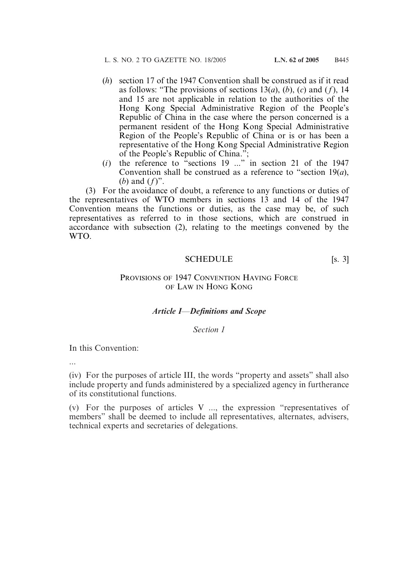- (*h*) section 17 of the 1947 Convention shall be construed as if it read as follows: "The provisions of sections 13(*a*), (*b*), (*c*) and (*f*), 14 and 15 are not applicable in relation to the authorities of the Hong Kong Special Administrative Region of the People's Republic of China in the case where the person concerned is a permanent resident of the Hong Kong Special Administrative Region of the People's Republic of China or is or has been a representative of the Hong Kong Special Administrative Region of the People's Republic of China.";
- (*i*) the reference to "sections 19 ..." in section 21 of the 1947 Convention shall be construed as a reference to "section 19(*a*), (*b*) and (*f*)".

(3) For the avoidance of doubt, a reference to any functions or duties of the representatives of WTO members in sections 13 and 14 of the 1947 Convention means the functions or duties, as the case may be, of such representatives as referred to in those sections, which are construed in accordance with subsection (2), relating to the meetings convened by the WTO.

#### SCHEDULE [s. 3]

## PROVISIONS OF 1947 CONVENTION HAVING FORCE OF LAW IN HONG KONG

#### *Article I—Definitions and Scope*

#### *Section 1*

In this Convention:

...

(iv) For the purposes of article III, the words "property and assets" shall also include property and funds administered by a specialized agency in furtherance of its constitutional functions.

(v) For the purposes of articles V ..., the expression "representatives of members" shall be deemed to include all representatives, alternates, advisers, technical experts and secretaries of delegations.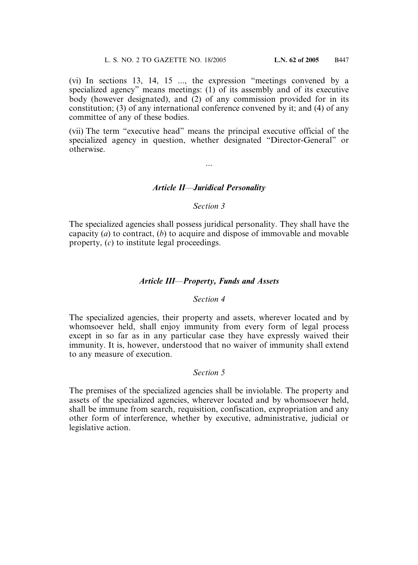(vi) In sections 13, 14, 15 ..., the expression "meetings convened by a specialized agency" means meetings: (1) of its assembly and of its executive body (however designated), and (2) of any commission provided for in its constitution; (3) of any international conference convened by it; and (4) of any committee of any of these bodies.

(vii) The term "executive head" means the principal executive official of the specialized agency in question, whether designated "Director-General" or otherwise.

### *Article II—Juridical Personality*

...

#### *Section 3*

The specialized agencies shall possess juridical personality. They shall have the capacity (*a*) to contract, (*b*) to acquire and dispose of immovable and movable property, (*c*) to institute legal proceedings.

#### *Article III—Property, Funds and Assets*

#### *Section 4*

The specialized agencies, their property and assets, wherever located and by whomsoever held, shall enjoy immunity from every form of legal process except in so far as in any particular case they have expressly waived their immunity. It is, however, understood that no waiver of immunity shall extend to any measure of execution.

#### *Section 5*

The premises of the specialized agencies shall be inviolable. The property and assets of the specialized agencies, wherever located and by whomsoever held, shall be immune from search, requisition, confiscation, expropriation and any other form of interference, whether by executive, administrative, judicial or legislative action.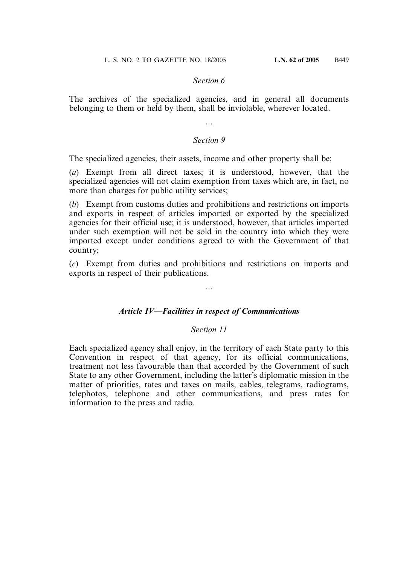The archives of the specialized agencies, and in general all documents belonging to them or held by them, shall be inviolable, wherever located.

...

### *Section 9*

The specialized agencies, their assets, income and other property shall be:

(*a*) Exempt from all direct taxes; it is understood, however, that the specialized agencies will not claim exemption from taxes which are, in fact, no more than charges for public utility services;

(*b*) Exempt from customs duties and prohibitions and restrictions on imports and exports in respect of articles imported or exported by the specialized agencies for their official use; it is understood, however, that articles imported under such exemption will not be sold in the country into which they were imported except under conditions agreed to with the Government of that country;

(*c*) Exempt from duties and prohibitions and restrictions on imports and exports in respect of their publications.

...

## *Article IV—Facilities in respect of Communications*

## *Section 11*

Each specialized agency shall enjoy, in the territory of each State party to this Convention in respect of that agency, for its official communications, treatment not less favourable than that accorded by the Government of such State to any other Government, including the latter's diplomatic mission in the matter of priorities, rates and taxes on mails, cables, telegrams, radiograms, telephotos, telephone and other communications, and press rates for information to the press and radio.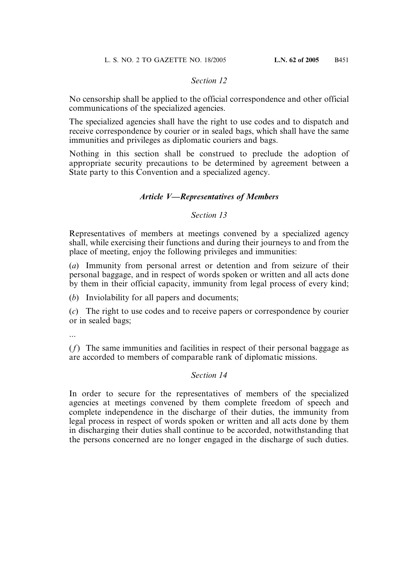No censorship shall be applied to the official correspondence and other official communications of the specialized agencies.

The specialized agencies shall have the right to use codes and to dispatch and receive correspondence by courier or in sealed bags, which shall have the same immunities and privileges as diplomatic couriers and bags.

Nothing in this section shall be construed to preclude the adoption of appropriate security precautions to be determined by agreement between a State party to this Convention and a specialized agency.

# *Article V—Representatives of Members*

## *Section 13*

Representatives of members at meetings convened by a specialized agency shall, while exercising their functions and during their journeys to and from the place of meeting, enjoy the following privileges and immunities:

(*a*) Immunity from personal arrest or detention and from seizure of their personal baggage, and in respect of words spoken or written and all acts done by them in their official capacity, immunity from legal process of every kind;

(*b*) Inviolability for all papers and documents;

(*c*) The right to use codes and to receive papers or correspondence by courier or in sealed bags;

...

(*f*) The same immunities and facilities in respect of their personal baggage as are accorded to members of comparable rank of diplomatic missions.

## *Section 14*

In order to secure for the representatives of members of the specialized agencies at meetings convened by them complete freedom of speech and complete independence in the discharge of their duties, the immunity from legal process in respect of words spoken or written and all acts done by them in discharging their duties shall continue to be accorded, notwithstanding that the persons concerned are no longer engaged in the discharge of such duties.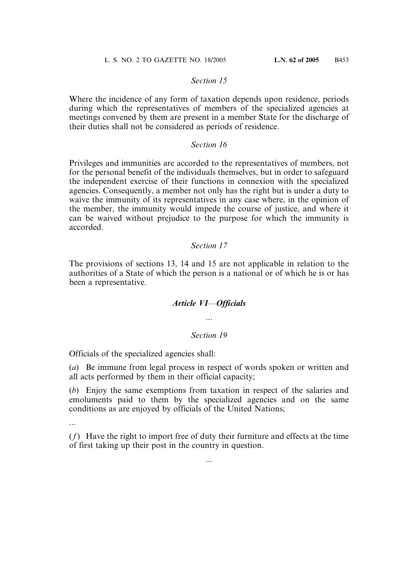Where the incidence of any form of taxation depends upon residence, periods during which the representatives of members of the specialized agencies at meetings convened by them are present in a member State for the discharge of their duties shall not be considered as periods of residence.

#### *Section 16*

Privileges and immunities are accorded to the representatives of members, not for the personal benefit of the individuals themselves, but in order to safeguard the independent exercise of their functions in connexion with the specialized agencies. Consequently, a member not only has the right but is under a duty to waive the immunity of its representatives in any case where, in the opinion of the member, the immunity would impede the course of justice, and where it can be waived without prejudice to the purpose for which the immunity is accorded.

### *Section 17*

The provisions of sections 13, 14 and 15 are not applicable in relation to the authorities of a State of which the person is a national or of which he is or has been a representative.

#### *Article VI—Officials*

...

### *Section 19*

Officials of the specialized agencies shall:

(*a*) Be immune from legal process in respect of words spoken or written and all acts performed by them in their official capacity;

(*b*) Enjoy the same exemptions from taxation in respect of the salaries and emoluments paid to them by the specialized agencies and on the same conditions as are enjoyed by officials of the United Nations;

...

(*f*) Have the right to import free of duty their furniture and effects at the time of first taking up their post in the country in question.

...